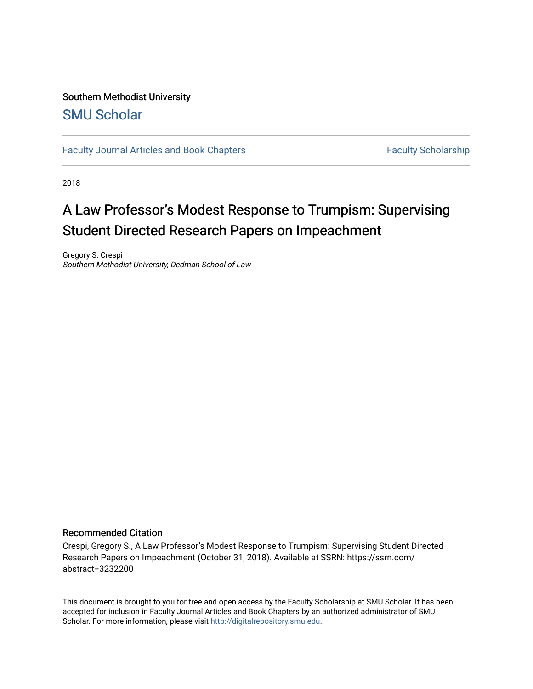### Southern Methodist University [SMU Scholar](https://scholar.smu.edu/)

[Faculty Journal Articles and Book Chapters](https://scholar.smu.edu/law_faculty) Faculty Scholarship

2018

## A Law Professor's Modest Response to Trumpism: Supervising Student Directed Research Papers on Impeachment

Gregory S. Crespi Southern Methodist University, Dedman School of Law

#### Recommended Citation

Crespi, Gregory S., A Law Professor's Modest Response to Trumpism: Supervising Student Directed Research Papers on Impeachment (October 31, 2018). Available at SSRN: https://ssrn.com/ abstract=3232200

This document is brought to you for free and open access by the Faculty Scholarship at SMU Scholar. It has been accepted for inclusion in Faculty Journal Articles and Book Chapters by an authorized administrator of SMU Scholar. For more information, please visit [http://digitalrepository.smu.edu.](http://digitalrepository.smu.edu/)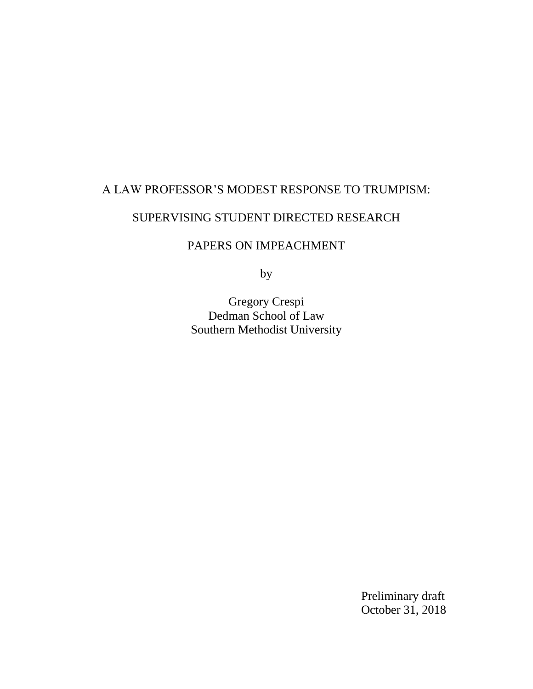# A LAW PROFESSOR'S MODEST RESPONSE TO TRUMPISM:

## SUPERVISING STUDENT DIRECTED RESEARCH

### PAPERS ON IMPEACHMENT

by

Gregory Crespi Dedman School of Law Southern Methodist University

> Preliminary draft October 31, 2018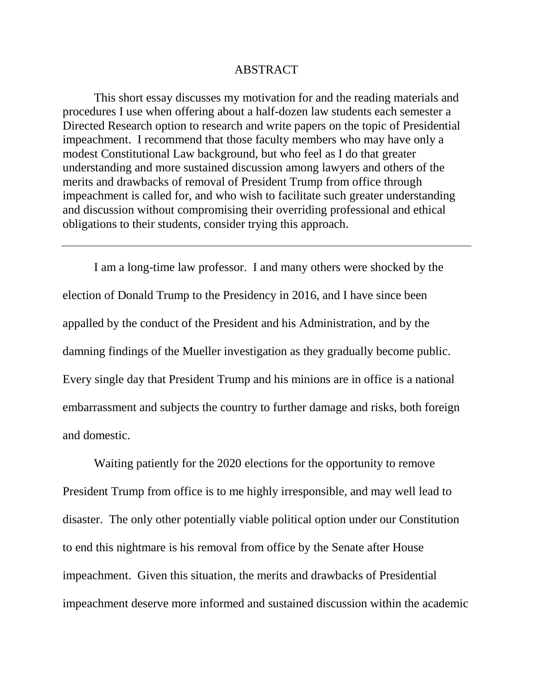### ABSTRACT

This short essay discusses my motivation for and the reading materials and procedures I use when offering about a half-dozen law students each semester a Directed Research option to research and write papers on the topic of Presidential impeachment. I recommend that those faculty members who may have only a modest Constitutional Law background, but who feel as I do that greater understanding and more sustained discussion among lawyers and others of the merits and drawbacks of removal of President Trump from office through impeachment is called for, and who wish to facilitate such greater understanding and discussion without compromising their overriding professional and ethical obligations to their students, consider trying this approach.

I am a long-time law professor. I and many others were shocked by the election of Donald Trump to the Presidency in 2016, and I have since been appalled by the conduct of the President and his Administration, and by the damning findings of the Mueller investigation as they gradually become public. Every single day that President Trump and his minions are in office is a national embarrassment and subjects the country to further damage and risks, both foreign and domestic.

Waiting patiently for the 2020 elections for the opportunity to remove President Trump from office is to me highly irresponsible, and may well lead to disaster. The only other potentially viable political option under our Constitution to end this nightmare is his removal from office by the Senate after House impeachment. Given this situation, the merits and drawbacks of Presidential impeachment deserve more informed and sustained discussion within the academic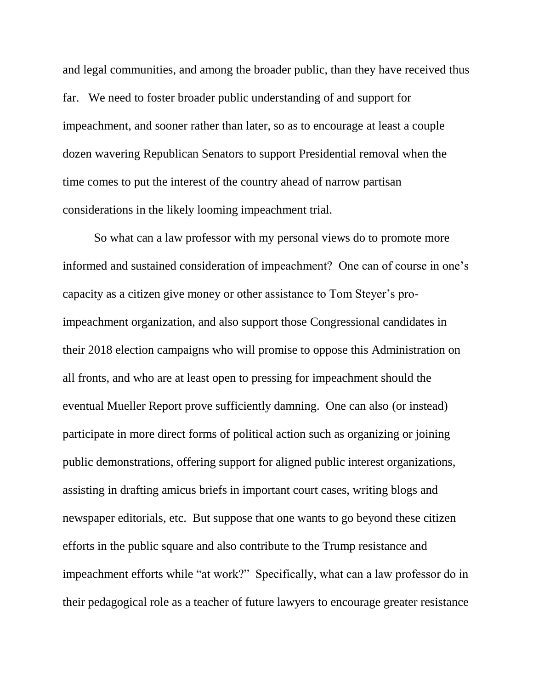and legal communities, and among the broader public, than they have received thus far. We need to foster broader public understanding of and support for impeachment, and sooner rather than later, so as to encourage at least a couple dozen wavering Republican Senators to support Presidential removal when the time comes to put the interest of the country ahead of narrow partisan considerations in the likely looming impeachment trial.

So what can a law professor with my personal views do to promote more informed and sustained consideration of impeachment? One can of course in one's capacity as a citizen give money or other assistance to Tom Steyer's proimpeachment organization, and also support those Congressional candidates in their 2018 election campaigns who will promise to oppose this Administration on all fronts, and who are at least open to pressing for impeachment should the eventual Mueller Report prove sufficiently damning. One can also (or instead) participate in more direct forms of political action such as organizing or joining public demonstrations, offering support for aligned public interest organizations, assisting in drafting amicus briefs in important court cases, writing blogs and newspaper editorials, etc. But suppose that one wants to go beyond these citizen efforts in the public square and also contribute to the Trump resistance and impeachment efforts while "at work?" Specifically, what can a law professor do in their pedagogical role as a teacher of future lawyers to encourage greater resistance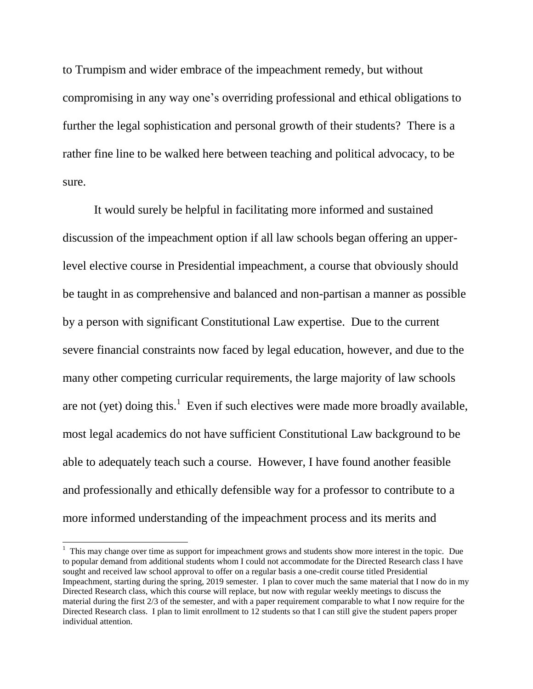to Trumpism and wider embrace of the impeachment remedy, but without compromising in any way one's overriding professional and ethical obligations to further the legal sophistication and personal growth of their students? There is a rather fine line to be walked here between teaching and political advocacy, to be sure.

It would surely be helpful in facilitating more informed and sustained discussion of the impeachment option if all law schools began offering an upperlevel elective course in Presidential impeachment, a course that obviously should be taught in as comprehensive and balanced and non-partisan a manner as possible by a person with significant Constitutional Law expertise. Due to the current severe financial constraints now faced by legal education, however, and due to the many other competing curricular requirements, the large majority of law schools are not (yet) doing this.<sup>1</sup> Even if such electives were made more broadly available, most legal academics do not have sufficient Constitutional Law background to be able to adequately teach such a course. However, I have found another feasible and professionally and ethically defensible way for a professor to contribute to a more informed understanding of the impeachment process and its merits and

<sup>&</sup>lt;sup>1</sup> This may change over time as support for impeachment grows and students show more interest in the topic. Due to popular demand from additional students whom I could not accommodate for the Directed Research class I have sought and received law school approval to offer on a regular basis a one-credit course titled Presidential Impeachment, starting during the spring, 2019 semester. I plan to cover much the same material that I now do in my Directed Research class, which this course will replace, but now with regular weekly meetings to discuss the material during the first 2/3 of the semester, and with a paper requirement comparable to what I now require for the Directed Research class. I plan to limit enrollment to 12 students so that I can still give the student papers proper individual attention.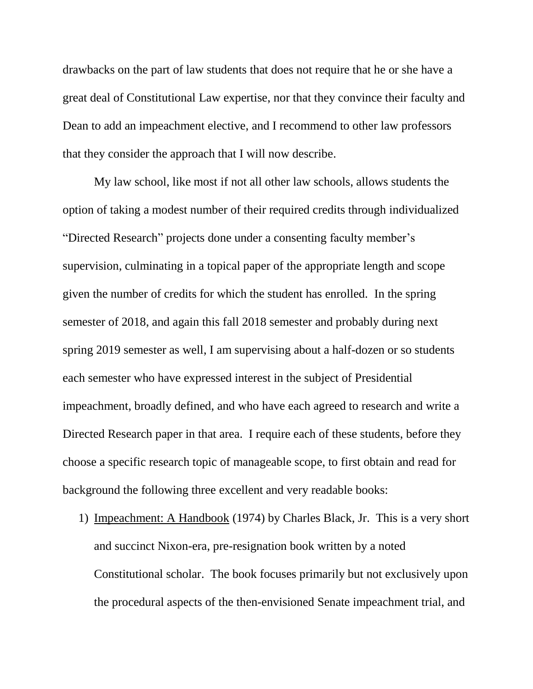drawbacks on the part of law students that does not require that he or she have a great deal of Constitutional Law expertise, nor that they convince their faculty and Dean to add an impeachment elective, and I recommend to other law professors that they consider the approach that I will now describe.

My law school, like most if not all other law schools, allows students the option of taking a modest number of their required credits through individualized "Directed Research" projects done under a consenting faculty member's supervision, culminating in a topical paper of the appropriate length and scope given the number of credits for which the student has enrolled. In the spring semester of 2018, and again this fall 2018 semester and probably during next spring 2019 semester as well, I am supervising about a half-dozen or so students each semester who have expressed interest in the subject of Presidential impeachment, broadly defined, and who have each agreed to research and write a Directed Research paper in that area. I require each of these students, before they choose a specific research topic of manageable scope, to first obtain and read for background the following three excellent and very readable books:

1) Impeachment: A Handbook (1974) by Charles Black, Jr. This is a very short and succinct Nixon-era, pre-resignation book written by a noted Constitutional scholar. The book focuses primarily but not exclusively upon the procedural aspects of the then-envisioned Senate impeachment trial, and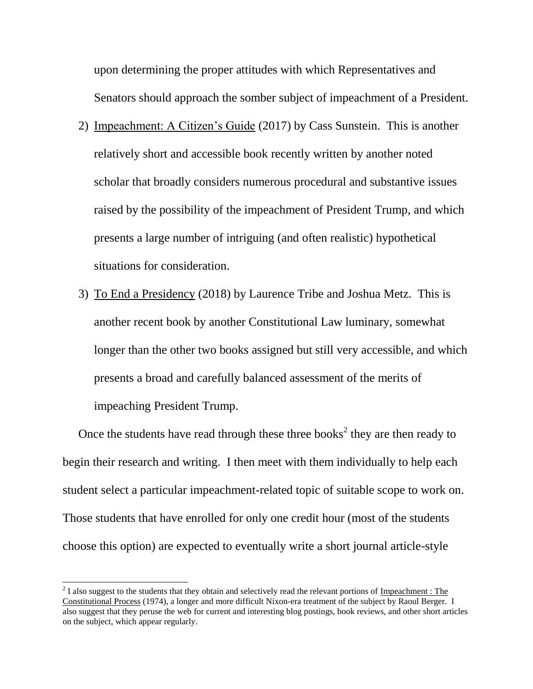upon determining the proper attitudes with which Representatives and Senators should approach the somber subject of impeachment of a President.

- 2) Impeachment: A Citizen's Guide (2017) by Cass Sunstein. This is another relatively short and accessible book recently written by another noted scholar that broadly considers numerous procedural and substantive issues raised by the possibility of the impeachment of President Trump, and which presents a large number of intriguing (and often realistic) hypothetical situations for consideration.
- 3) To End a Presidency (2018) by Laurence Tribe and Joshua Metz. This is another recent book by another Constitutional Law luminary, somewhat longer than the other two books assigned but still very accessible, and which presents a broad and carefully balanced assessment of the merits of impeaching President Trump.

Once the students have read through these three books<sup>2</sup> they are then ready to begin their research and writing. I then meet with them individually to help each student select a particular impeachment-related topic of suitable scope to work on. Those students that have enrolled for only one credit hour (most of the students choose this option) are expected to eventually write a short journal article-style

 $\overline{a}$ 

 $2^{2}$  I also suggest to the students that they obtain and selectively read the relevant portions of Impeachment : The Constitutional Process (1974), a longer and more difficult Nixon-era treatment of the subject by Raoul Berger. I also suggest that they peruse the web for current and interesting blog postings, book reviews, and other short articles on the subject, which appear regularly.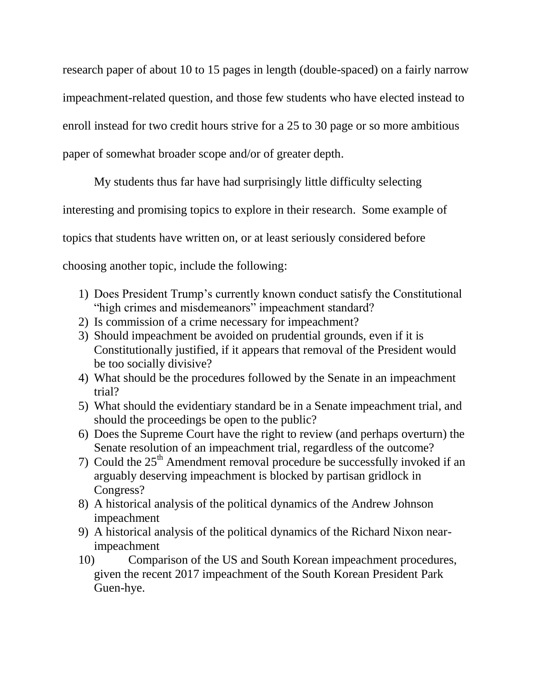research paper of about 10 to 15 pages in length (double-spaced) on a fairly narrow impeachment-related question, and those few students who have elected instead to enroll instead for two credit hours strive for a 25 to 30 page or so more ambitious paper of somewhat broader scope and/or of greater depth.

My students thus far have had surprisingly little difficulty selecting interesting and promising topics to explore in their research. Some example of topics that students have written on, or at least seriously considered before choosing another topic, include the following:

- 1) Does President Trump's currently known conduct satisfy the Constitutional "high crimes and misdemeanors" impeachment standard?
- 2) Is commission of a crime necessary for impeachment?
- 3) Should impeachment be avoided on prudential grounds, even if it is Constitutionally justified, if it appears that removal of the President would be too socially divisive?
- 4) What should be the procedures followed by the Senate in an impeachment trial?
- 5) What should the evidentiary standard be in a Senate impeachment trial, and should the proceedings be open to the public?
- 6) Does the Supreme Court have the right to review (and perhaps overturn) the Senate resolution of an impeachment trial, regardless of the outcome?
- 7) Could the  $25<sup>th</sup>$  Amendment removal procedure be successfully invoked if an arguably deserving impeachment is blocked by partisan gridlock in Congress?
- 8) A historical analysis of the political dynamics of the Andrew Johnson impeachment
- 9) A historical analysis of the political dynamics of the Richard Nixon nearimpeachment
- 10) Comparison of the US and South Korean impeachment procedures, given the recent 2017 impeachment of the South Korean President Park Guen-hye.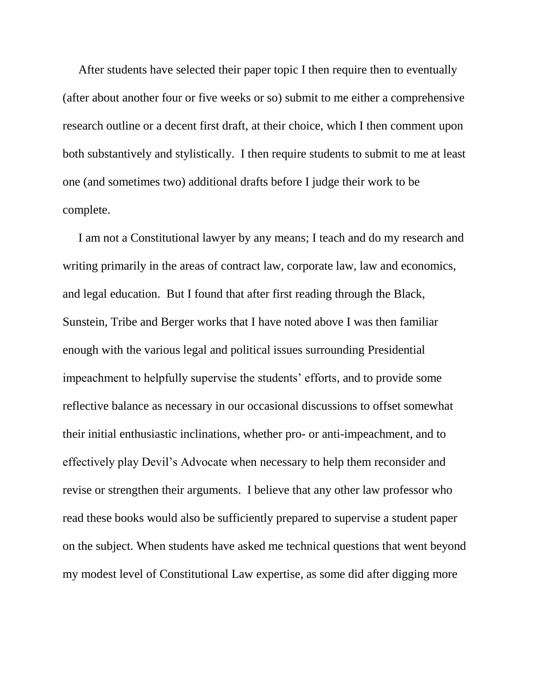After students have selected their paper topic I then require then to eventually (after about another four or five weeks or so) submit to me either a comprehensive research outline or a decent first draft, at their choice, which I then comment upon both substantively and stylistically. I then require students to submit to me at least one (and sometimes two) additional drafts before I judge their work to be complete.

I am not a Constitutional lawyer by any means; I teach and do my research and writing primarily in the areas of contract law, corporate law, law and economics, and legal education. But I found that after first reading through the Black, Sunstein, Tribe and Berger works that I have noted above I was then familiar enough with the various legal and political issues surrounding Presidential impeachment to helpfully supervise the students' efforts, and to provide some reflective balance as necessary in our occasional discussions to offset somewhat their initial enthusiastic inclinations, whether pro- or anti-impeachment, and to effectively play Devil's Advocate when necessary to help them reconsider and revise or strengthen their arguments. I believe that any other law professor who read these books would also be sufficiently prepared to supervise a student paper on the subject. When students have asked me technical questions that went beyond my modest level of Constitutional Law expertise, as some did after digging more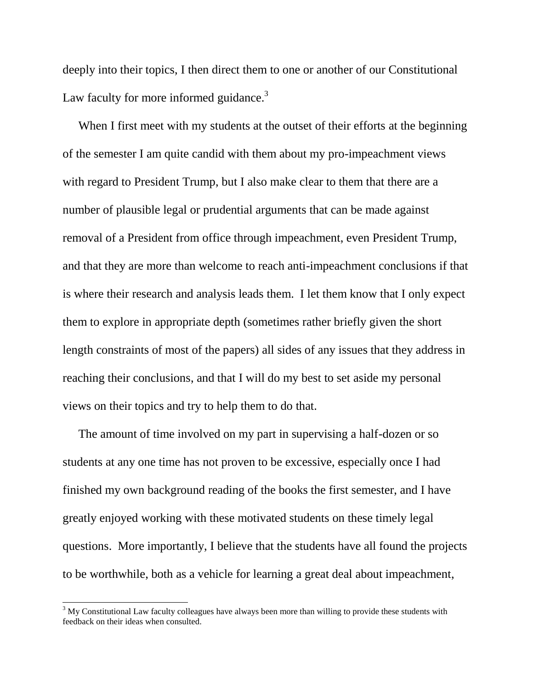deeply into their topics, I then direct them to one or another of our Constitutional Law faculty for more informed guidance. $3$ 

When I first meet with my students at the outset of their efforts at the beginning of the semester I am quite candid with them about my pro-impeachment views with regard to President Trump, but I also make clear to them that there are a number of plausible legal or prudential arguments that can be made against removal of a President from office through impeachment, even President Trump, and that they are more than welcome to reach anti-impeachment conclusions if that is where their research and analysis leads them. I let them know that I only expect them to explore in appropriate depth (sometimes rather briefly given the short length constraints of most of the papers) all sides of any issues that they address in reaching their conclusions, and that I will do my best to set aside my personal views on their topics and try to help them to do that.

The amount of time involved on my part in supervising a half-dozen or so students at any one time has not proven to be excessive, especially once I had finished my own background reading of the books the first semester, and I have greatly enjoyed working with these motivated students on these timely legal questions. More importantly, I believe that the students have all found the projects to be worthwhile, both as a vehicle for learning a great deal about impeachment,

 $\overline{a}$ 

 $3$  My Constitutional Law faculty colleagues have always been more than willing to provide these students with feedback on their ideas when consulted.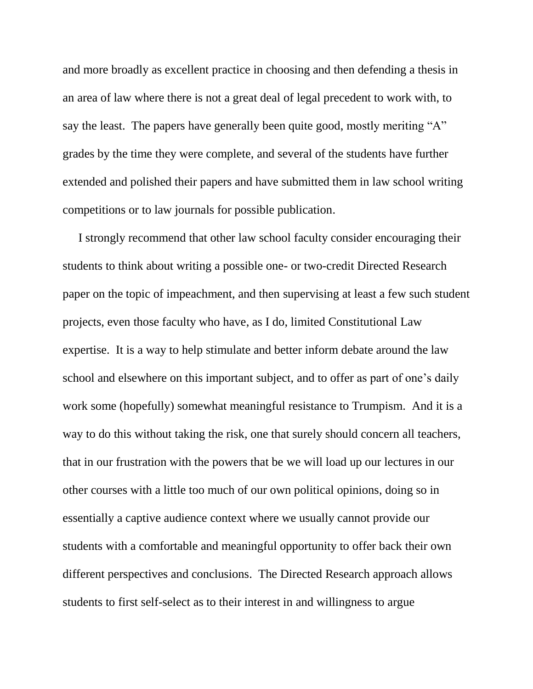and more broadly as excellent practice in choosing and then defending a thesis in an area of law where there is not a great deal of legal precedent to work with, to say the least. The papers have generally been quite good, mostly meriting "A" grades by the time they were complete, and several of the students have further extended and polished their papers and have submitted them in law school writing competitions or to law journals for possible publication.

I strongly recommend that other law school faculty consider encouraging their students to think about writing a possible one- or two-credit Directed Research paper on the topic of impeachment, and then supervising at least a few such student projects, even those faculty who have, as I do, limited Constitutional Law expertise. It is a way to help stimulate and better inform debate around the law school and elsewhere on this important subject, and to offer as part of one's daily work some (hopefully) somewhat meaningful resistance to Trumpism. And it is a way to do this without taking the risk, one that surely should concern all teachers, that in our frustration with the powers that be we will load up our lectures in our other courses with a little too much of our own political opinions, doing so in essentially a captive audience context where we usually cannot provide our students with a comfortable and meaningful opportunity to offer back their own different perspectives and conclusions. The Directed Research approach allows students to first self-select as to their interest in and willingness to argue